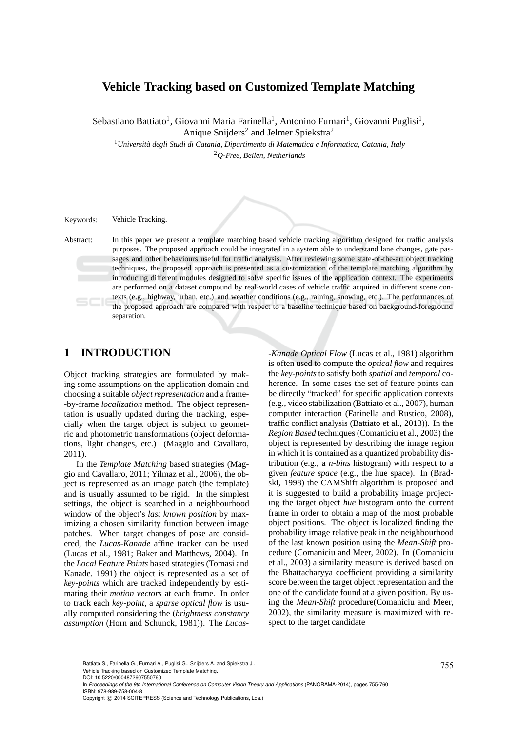### **Vehicle Tracking based on Customized Template Matching**

Sebastiano Battiato<sup>1</sup>, Giovanni Maria Farinella<sup>1</sup>, Antonino Furnari<sup>1</sup>, Giovanni Puglisi<sup>1</sup>, Anique Snijders<sup>2</sup> and Jelmer Spiekstra<sup>2</sup>

<sup>1</sup>*Universit`a degli Studi di Catania, Dipartimento di Matematica e Informatica, Catania, Italy* <sup>2</sup>*Q-Free, Beilen, Netherlands*

Keywords: Vehicle Tracking.

Abstract: In this paper we present a template matching based vehicle tracking algorithm designed for traffic analysis purposes. The proposed approach could be integrated in a system able to understand lane changes, gate passages and other behaviours useful for traffic analysis. After reviewing some state-of-the-art object tracking techniques, the proposed approach is presented as a customization of the template matching algorithm by introducing different modules designed to solve specific issues of the application context. The experiments are performed on a dataset compound by real-world cases of vehicle traffic acquired in different scene contexts (e.g., highway, urban, etc.) and weather conditions (e.g., raining, snowing, etc.). The performances of the proposed approach are compared with respect to a baseline technique based on background-foreground separation.

# **1 INTRODUCTION**

Object tracking strategies are formulated by making some assumptions on the application domain and choosing a suitable *object representation* and a frame- -by-frame *localization* method. The object representation is usually updated during the tracking, especially when the target object is subject to geometric and photometric transformations (object deformations, light changes, etc.) (Maggio and Cavallaro, 2011).

In the *Template Matching* based strategies (Maggio and Cavallaro, 2011; Yilmaz et al., 2006), the object is represented as an image patch (the template) and is usually assumed to be rigid. In the simplest settings, the object is searched in a neighbourhood window of the object's *last known position* by maximizing a chosen similarity function between image patches. When target changes of pose are considered, the *Lucas-Kanade* affine tracker can be used (Lucas et al., 1981; Baker and Matthews, 2004). In the *Local Feature Points* based strategies (Tomasi and Kanade, 1991) the object is represented as a set of *key-points* which are tracked independently by estimating their *motion vectors* at each frame. In order to track each *key-point*, a *sparse optical flow* is usually computed considering the (*brightness constancy assumption* (Horn and Schunck, 1981)). The *Lucas-*

*-Kanade Optical Flow* (Lucas et al., 1981) algorithm is often used to compute the *optical flow* and requires the *key-points* to satisfy both *spatial* and *temporal* coherence. In some cases the set of feature points can be directly "tracked" for specific application contexts (e.g., video stabilization (Battiato et al., 2007), human computer interaction (Farinella and Rustico, 2008), traffic conflict analysis (Battiato et al., 2013)). In the *Region Based* techniques (Comaniciu et al., 2003) the object is represented by describing the image region in which it is contained as a quantized probability distribution (e.g., a *n-bins* histogram) with respect to a given *feature space* (e.g., the hue space). In (Bradski, 1998) the CAMShift algorithm is proposed and it is suggested to build a probability image projecting the target object *hue* histogram onto the current frame in order to obtain a map of the most probable object positions. The object is localized finding the probability image relative peak in the neighbourhood of the last known position using the *Mean-Shift* procedure (Comaniciu and Meer, 2002). In (Comaniciu et al., 2003) a similarity measure is derived based on the Bhattacharyya coefficient providing a similarity score between the target object representation and the one of the candidate found at a given position. By using the *Mean-Shift* procedure(Comaniciu and Meer, 2002), the similarity measure is maximized with respect to the target candidate

Battiato S., Farinella G., Furnari A., Puglisi G., Snijders A. and Spiekstra J.. (2008) A. Company of Marian Company of The Marian Company of The Marian Company of The Marian Company of The Marian Company of The Marian Com Vehicle Tracking based on Customized Template Matching.

DOI: 10.5220/0004872607550760

In *Proceedings of the 9th International Conference on Computer Vision Theory and Applications* (PANORAMA-2014), pages 755-760 ISBN: 978-989-758-004-8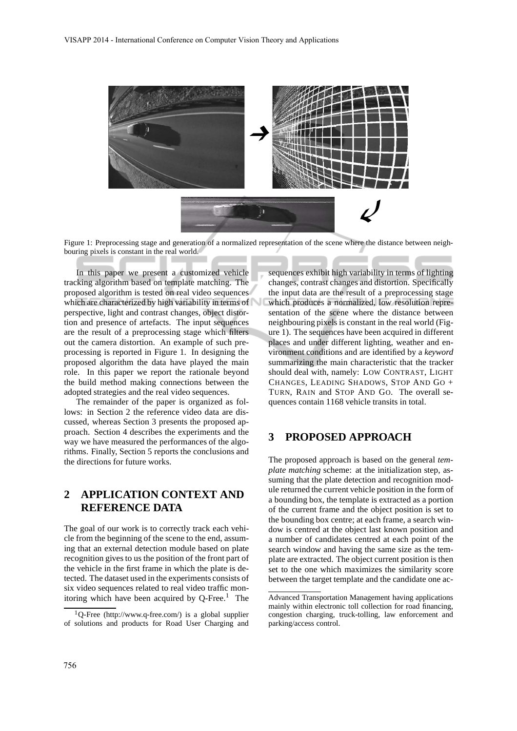

Figure 1: Preprocessing stage and generation of a normalized representation of the scene where the distance between neighbouring pixels is constant in the real world.

In this paper we present a customized vehicle tracking algorithm based on template matching. The proposed algorithm is tested on real video sequences which are characterized by high variability in terms of perspective, light and contrast changes, object distortion and presence of artefacts. The input sequences are the result of a preprocessing stage which filters out the camera distortion. An example of such preprocessing is reported in Figure 1. In designing the proposed algorithm the data have played the main role. In this paper we report the rationale beyond the build method making connections between the adopted strategies and the real video sequences.

The remainder of the paper is organized as follows: in Section 2 the reference video data are discussed, whereas Section 3 presents the proposed approach. Section 4 describes the experiments and the way we have measured the performances of the algorithms. Finally, Section 5 reports the conclusions and the directions for future works.

# **2 APPLICATION CONTEXT AND REFERENCE DATA**

The goal of our work is to correctly track each vehicle from the beginning of the scene to the end, assuming that an external detection module based on plate recognition gives to us the position of the front part of the vehicle in the first frame in which the plate is detected. The dataset used in the experiments consists of six video sequences related to real video traffic monitoring which have been acquired by  $Q$ -Free.<sup>1</sup> The

sequences exhibit high variability in terms of lighting changes, contrast changes and distortion. Specifically the input data are the result of a preprocessing stage which produces a normalized, low resolution representation of the scene where the distance between neighbouring pixels is constant in the real world (Figure 1). The sequences have been acquired in different places and under different lighting, weather and environment conditions and are identified by a *keyword* summarizing the main characteristic that the tracker should deal with, namely: LOW CONTRAST, LIGHT CHANGES, LEADING SHADOWS, STOP AND GO + TURN, RAIN and STOP AND GO. The overall sequences contain 1168 vehicle transits in total.

#### **3 PROPOSED APPROACH**

The proposed approach is based on the general *template matching* scheme: at the initialization step, assuming that the plate detection and recognition module returned the current vehicle position in the form of a bounding box, the template is extracted as a portion of the current frame and the object position is set to the bounding box centre; at each frame, a search window is centred at the object last known position and a number of candidates centred at each point of the search window and having the same size as the template are extracted. The object current position is then set to the one which maximizes the similarity score between the target template and the candidate one ac-

 $1$ O-Free (http://www.q-free.com/) is a global supplier of solutions and products for Road User Charging and

Advanced Transportation Management having applications mainly within electronic toll collection for road financing, congestion charging, truck-tolling, law enforcement and parking/access control.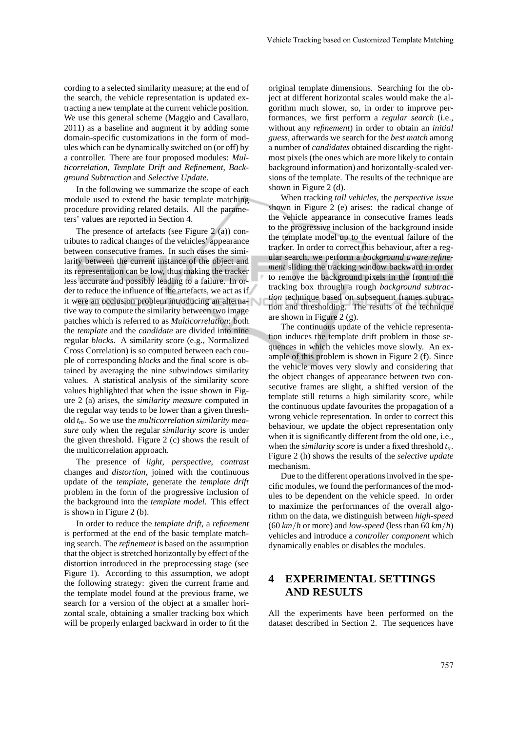cording to a selected similarity measure; at the end of the search, the vehicle representation is updated extracting a new template at the current vehicle position. We use this general scheme (Maggio and Cavallaro, 2011) as a baseline and augment it by adding some domain-specific customizations in the form of modules which can be dynamically switched on (or off) by a controller. There are four proposed modules: *Multicorrelation*, *Template Drift and Refinement*, *Background Subtraction* and *Selective Update*.

In the following we summarize the scope of each module used to extend the basic template matching procedure providing related details. All the parameters' values are reported in Section 4.

The presence of artefacts (see Figure 2 (a)) contributes to radical changes of the vehicles' appearance between consecutive frames. In such cases the similarity between the current instance of the object and its representation can be low, thus making the tracker less accurate and possibly leading to a failure. In order to reduce the influence of the artefacts, we act as if it were an occlusion problem introducing an alternative way to compute the similarity between two image patches which is referred to as *Multicorrelation*: both the *template* and the *candidate* are divided into nine regular *blocks*. A similarity score (e.g., Normalized Cross Correlation) is so computed between each couple of corresponding *blocks* and the final score is obtained by averaging the nine subwindows similarity values. A statistical analysis of the similarity score values highlighted that when the issue shown in Figure 2 (a) arises, the *similarity measure* computed in the regular way tends to be lower than a given threshold *tm*. So we use the *multicorrelation similarity measure* only when the regular *similarity score* is under the given threshold. Figure 2 (c) shows the result of the multicorrelation approach.

The presence of *light*, *perspective*, *contrast* changes and *distortion*, joined with the continuous update of the *template*, generate the *template drift* problem in the form of the progressive inclusion of the background into the *template model*. This effect is shown in Figure 2 (b).

In order to reduce the *template drift*, a *refinement* is performed at the end of the basic template matching search. The *refinement* is based on the assumption that the object is stretched horizontally by effect of the distortion introduced in the preprocessing stage (see Figure 1). According to this assumption, we adopt the following strategy: given the current frame and the template model found at the previous frame, we search for a version of the object at a smaller horizontal scale, obtaining a smaller tracking box which will be properly enlarged backward in order to fit the original template dimensions. Searching for the object at different horizontal scales would make the algorithm much slower, so, in order to improve performances, we first perform a *regular search* (i.e., without any *refinement*) in order to obtain an *initial guess*, afterwards we search for the *best match* among a number of *candidates* obtained discarding the rightmost pixels (the ones which are more likely to contain background information) and horizontally-scaled versions of the template. The results of the technique are shown in Figure 2 (d).

When tracking *tall vehicles*, the *perspective issue* shown in Figure 2 (e) arises: the radical change of the vehicle appearance in consecutive frames leads to the progressive inclusion of the background inside the template model up to the eventual failure of the tracker. In order to correct this behaviour, after a regular search, we perform a *background aware refinement* sliding the tracking window backward in order to remove the background pixels in the front of the tracking box through a rough *background subtraction* technique based on subsequent frames subtraction and thresholding. The results of the technique are shown in Figure 2 (g).

The continuous update of the vehicle representation induces the template drift problem in those sequences in which the vehicles move slowly. An example of this problem is shown in Figure 2 (f). Since the vehicle moves very slowly and considering that the object changes of appearance between two consecutive frames are slight, a shifted version of the template still returns a high similarity score, while the continuous update favourites the propagation of a wrong vehicle representation. In order to correct this behaviour, we update the object representation only when it is significantly different from the old one, i.e., when the *similarity score* is under a fixed threshold *tu*. Figure 2 (h) shows the results of the *selective update* mechanism.

Due to the different operations involved in the specific modules, we found the performances of the modules to be dependent on the vehicle speed. In order to maximize the performances of the overall algorithm on the data, we distinguish between *high-speed* (60 *km*/*h* or more) and *low-speed* (less than 60 *km*/*h*) vehicles and introduce a *controller component* which dynamically enables or disables the modules.

# **4 EXPERIMENTAL SETTINGS AND RESULTS**

All the experiments have been performed on the dataset described in Section 2. The sequences have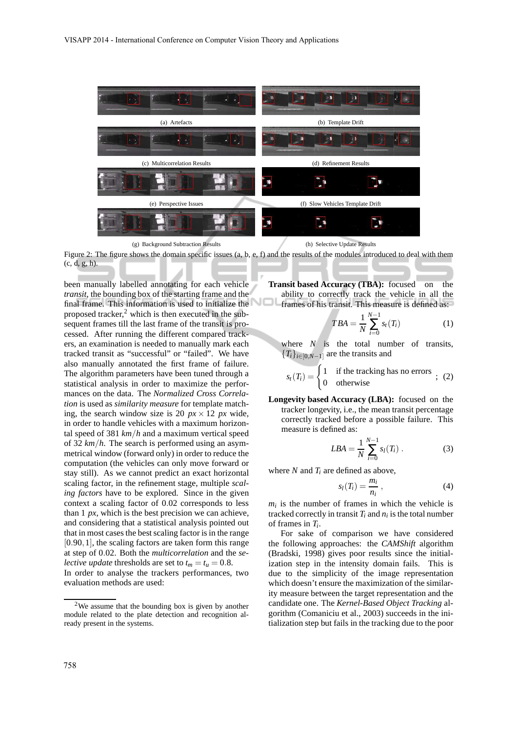

(g) Background Subtraction Results (h) Selective Update Results

Figure 2: The figure shows the domain specific issues (a, b, e, f) and the results of the modules introduced to deal with them (c, d, g, h).

been manually labelled annotating for each vehicle *transit*, the bounding box of the starting frame and the final frame. This information is used to initialize the proposed tracker, $<sup>2</sup>$  which is then executed in the sub-</sup> sequent frames till the last frame of the transit is processed. After running the different compared trackers, an examination is needed to manually mark each tracked transit as "successful" or "failed". We have also manually annotated the first frame of failure. The algorithm parameters have been tuned through a statistical analysis in order to maximize the performances on the data. The *Normalized Cross Correlation* is used as *similarity measure* for template matching, the search window size is 20  $px \times 12 px$  wide, in order to handle vehicles with a maximum horizontal speed of 381 *km*/*h* and a maximum vertical speed of 32 *km*/*h*. The search is performed using an asymmetrical window (forward only) in order to reduce the computation (the vehicles can only move forward or stay still). As we cannot predict an exact horizontal scaling factor, in the refinement stage, multiple *scaling factors* have to be explored. Since in the given context a scaling factor of 0.02 corresponds to less than 1 *px*, which is the best precision we can achieve, and considering that a statistical analysis pointed out that in most cases the best scaling factor is in the range [0.90,1], the scaling factors are taken form this range at step of 0.02. Both the *multicorrelation* and the *selective update* thresholds are set to  $t_m = t_u = 0.8$ .

In order to analyse the trackers performances, two evaluation methods are used:

**Transit based Accuracy (TBA):** focused on the ability to correctly track the vehicle in all the frames of his transit. This measure is defined as:

$$
TBA = \frac{1}{N} \sum_{i=0}^{N-1} s_i(T_i)
$$
 (1)

where  $N$  is the total number of transits,  ${T_i}_{i \in [0,N-1]}$  are the transits and

$$
s_t(T_i) = \begin{cases} 1 & \text{if the tracking has no errors} \\ 0 & \text{otherwise} \end{cases}
$$
; (2)

**Longevity based Accuracy (LBA):** focused on the tracker longevity, i.e., the mean transit percentage correctly tracked before a possible failure. This measure is defined as:

$$
LBA = \frac{1}{N} \sum_{i=0}^{N-1} s_l(T_i) .
$$
 (3)

where  $N$  and  $T_i$  are defined as above,

$$
s_l(T_i) = \frac{m_i}{n_i} \,, \tag{4}
$$

 $m_i$  is the number of frames in which the vehicle is tracked correctly in transit  $T_i$  and  $n_i$  is the total number of frames in *T<sup>i</sup>* .

For sake of comparison we have considered the following approaches: the *CAMShift* algorithm (Bradski, 1998) gives poor results since the initialization step in the intensity domain fails. This is due to the simplicity of the image representation which doesn't ensure the maximization of the similarity measure between the target representation and the candidate one. The *Kernel-Based Object Tracking* algorithm (Comaniciu et al., 2003) succeeds in the initialization step but fails in the tracking due to the poor

<sup>2</sup>We assume that the bounding box is given by another module related to the plate detection and recognition already present in the systems.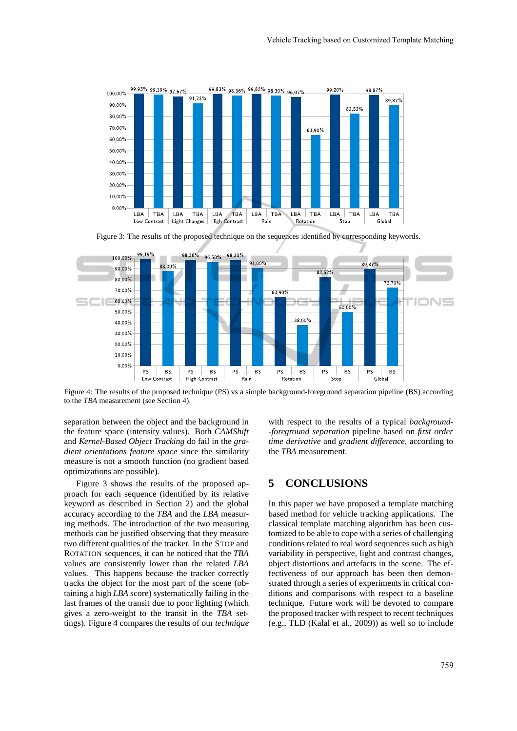

Figure 3: The results of the proposed technique on the sequences identified by corresponding keywords.



Figure 4: The results of the proposed technique (PS) vs a simple background-foreground separation pipeline (BS) according to the *TBA* measurement (see Section 4).

separation between the object and the background in the feature space (intensity values). Both *CAMShift* and *Kernel-Based Object Tracking* do fail in the *gradient orientations feature space* since the similarity measure is not a smooth function (no gradient based optimizations are possible).

Figure 3 shows the results of the proposed approach for each sequence (identified by its relative keyword as described in Section 2) and the global accuracy according to the *TBA* and the *LBA* measuring methods. The introduction of the two measuring methods can be justified observing that they measure two different qualities of the tracker. In the STOP and ROTATION sequences, it can be noticed that the *TBA* values are consistently lower than the related *LBA* values. This happens because the tracker correctly tracks the object for the most part of the scene (obtaining a high *LBA* score) systematically failing in the last frames of the transit due to poor lighting (which gives a zero-weight to the transit in the *TBA* settings). Figure 4 compares the results of our *technique*

with respect to the results of a typical *background- -foreground separation* pipeline based on *first order time derivative* and *gradient difference*, according to the *TBA* measurement.

#### **5 CONCLUSIONS**

In this paper we have proposed a template matching based method for vehicle tracking applications. The classical template matching algorithm has been customized to be able to cope with a series of challenging conditions related to real word sequences such as high variability in perspective, light and contrast changes, object distortions and artefacts in the scene. The effectiveness of our approach has been then demonstrated through a series of experiments in critical conditions and comparisons with respect to a baseline technique. Future work will be devoted to compare the proposed tracker with respect to recent techniques (e.g., TLD (Kalal et al., 2009)) as well so to include